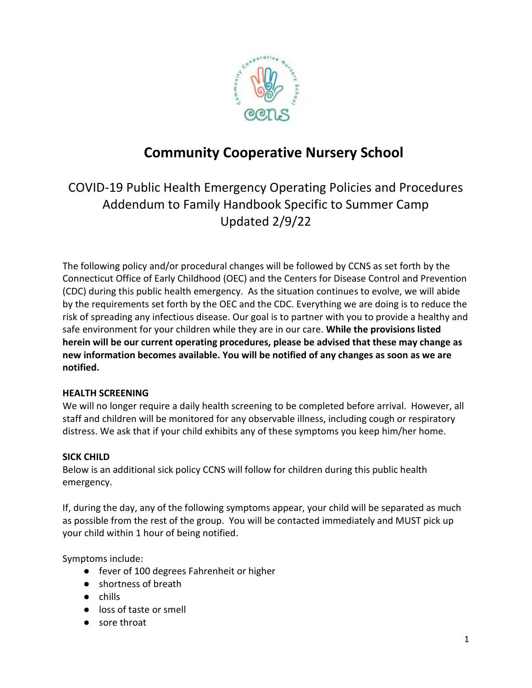

# **Community Cooperative Nursery School**

COVID-19 Public Health Emergency Operating Policies and Procedures Addendum to Family Handbook Specific to Summer Camp Updated 2/9/22

The following policy and/or procedural changes will be followed by CCNS as set forth by the Connecticut Office of Early Childhood (OEC) and the Centers for Disease Control and Prevention (CDC) during this public health emergency. As the situation continues to evolve, we will abide by the requirements set forth by the OEC and the CDC. Everything we are doing is to reduce the risk of spreading any infectious disease. Our goal is to partner with you to provide a healthy and safe environment for your children while they are in our care. **While the provisions listed herein will be our current operating procedures, please be advised that these may change as new information becomes available. You will be notified of any changes as soon as we are notified.**

## **HEALTH SCREENING**

We will no longer require a daily health screening to be completed before arrival. However, all staff and children will be monitored for any observable illness, including cough or respiratory distress. We ask that if your child exhibits any of these symptoms you keep him/her home.

## **SICK CHILD**

Below is an additional sick policy CCNS will follow for children during this public health emergency.

If, during the day, any of the following symptoms appear, your child will be separated as much as possible from the rest of the group. You will be contacted immediately and MUST pick up your child within 1 hour of being notified.

Symptoms include:

- fever of 100 degrees Fahrenheit or higher
- shortness of breath
- chills
- loss of taste or smell
- sore throat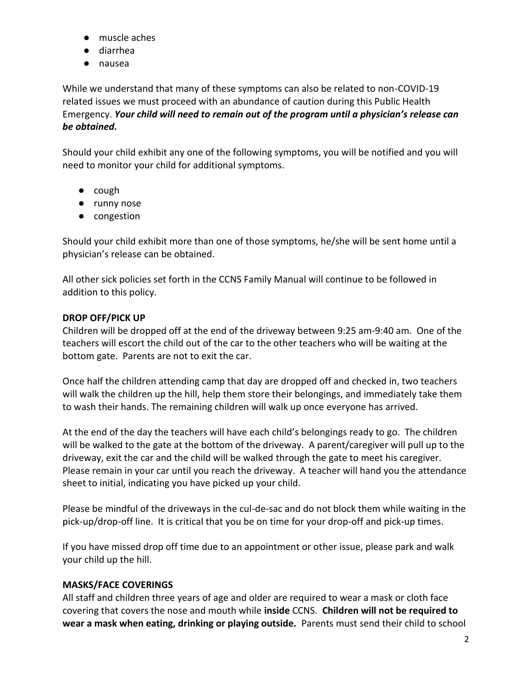- muscle aches
- diarrhea
- nausea

While we understand that many of these symptoms can also be related to non-COVID-19 related issues we must proceed with an abundance of caution during this Public Health Emergency. *Your child will need to remain out of the program until a physician's release can be obtained.*

Should your child exhibit any one of the following symptoms, you will be notified and you will need to monitor your child for additional symptoms.

- cough
- runny nose
- congestion

Should your child exhibit more than one of those symptoms, he/she will be sent home until a physician's release can be obtained.

All other sick policies set forth in the CCNS Family Manual will continue to be followed in addition to this policy.

# **DROP OFF/PICK UP**

Children will be dropped off at the end of the driveway between 9:25 am-9:40 am. One of the teachers will escort the child out of the car to the other teachers who will be waiting at the bottom gate. Parents are not to exit the car.

Once half the children attending camp that day are dropped off and checked in, two teachers will walk the children up the hill, help them store their belongings, and immediately take them to wash their hands. The remaining children will walk up once everyone has arrived.

At the end of the day the teachers will have each child's belongings ready to go. The children will be walked to the gate at the bottom of the driveway. A parent/caregiver will pull up to the driveway, exit the car and the child will be walked through the gate to meet his caregiver. Please remain in your car until you reach the driveway. A teacher will hand you the attendance sheet to initial, indicating you have picked up your child.

Please be mindful of the driveways in the cul-de-sac and do not block them while waiting in the pick-up/drop-off line. It is critical that you be on time for your drop-off and pick-up times.

If you have missed drop off time due to an appointment or other issue, please park and walk your child up the hill.

# **MASKS/FACE COVERINGS**

All staff and children three years of age and older are required to wear a mask or cloth face covering that covers the nose and mouth while **inside** CCNS. **Children will not be required to wear a mask when eating, drinking or playing outside.** Parents must send their child to school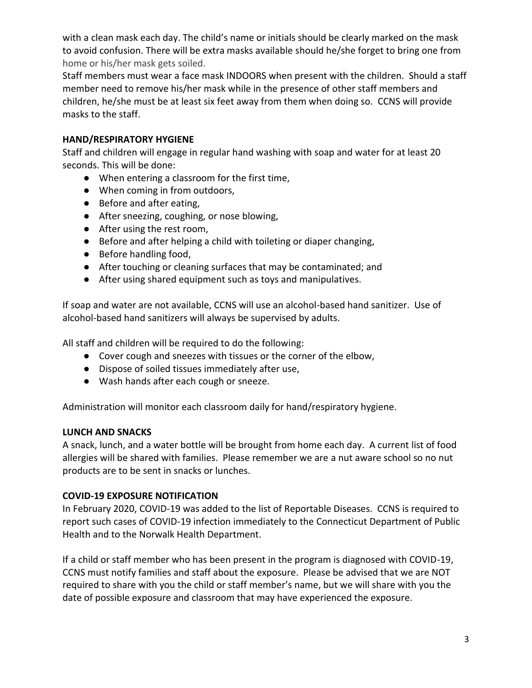with a clean mask each day. The child's name or initials should be clearly marked on the mask to avoid confusion. There will be extra masks available should he/she forget to bring one from home or his/her mask gets soiled.

Staff members must wear a face mask INDOORS when present with the children. Should a staff member need to remove his/her mask while in the presence of other staff members and children, he/she must be at least six feet away from them when doing so. CCNS will provide masks to the staff.

## **HAND/RESPIRATORY HYGIENE**

Staff and children will engage in regular hand washing with soap and water for at least 20 seconds. This will be done:

- When entering a classroom for the first time,
- When coming in from outdoors,
- Before and after eating,
- After sneezing, coughing, or nose blowing,
- After using the rest room,
- Before and after helping a child with toileting or diaper changing,
- Before handling food,
- After touching or cleaning surfaces that may be contaminated; and
- After using shared equipment such as toys and manipulatives.

If soap and water are not available, CCNS will use an alcohol-based hand sanitizer. Use of alcohol-based hand sanitizers will always be supervised by adults.

All staff and children will be required to do the following:

- Cover cough and sneezes with tissues or the corner of the elbow,
- Dispose of soiled tissues immediately after use,
- Wash hands after each cough or sneeze.

Administration will monitor each classroom daily for hand/respiratory hygiene.

#### **LUNCH AND SNACKS**

A snack, lunch, and a water bottle will be brought from home each day. A current list of food allergies will be shared with families. Please remember we are a nut aware school so no nut products are to be sent in snacks or lunches.

#### **COVID-19 EXPOSURE NOTIFICATION**

In February 2020, COVID-19 was added to the list of Reportable Diseases. CCNS is required to report such cases of COVID-19 infection immediately to the Connecticut Department of Public Health and to the Norwalk Health Department.

If a child or staff member who has been present in the program is diagnosed with COVID-19, CCNS must notify families and staff about the exposure. Please be advised that we are NOT required to share with you the child or staff member's name, but we will share with you the date of possible exposure and classroom that may have experienced the exposure.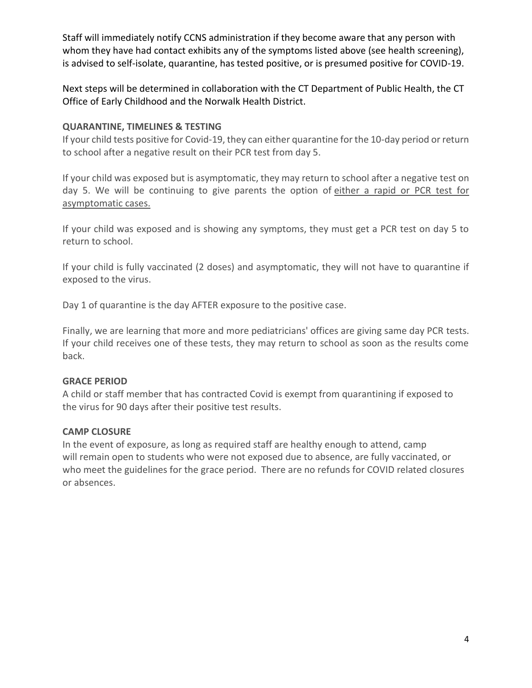Staff will immediately notify CCNS administration if they become aware that any person with whom they have had contact exhibits any of the symptoms listed above (see health screening), is advised to self-isolate, quarantine, has tested positive, or is presumed positive for COVID-19.

Next steps will be determined in collaboration with the CT Department of Public Health, the CT Office of Early Childhood and the Norwalk Health District.

## **QUARANTINE, TIMELINES & TESTING**

If your child tests positive for Covid-19, they can either quarantine for the 10-day period or return to school after a negative result on their PCR test from day 5.

If your child was exposed but is asymptomatic, they may return to school after a negative test on day 5. We will be continuing to give parents the option of either a rapid or PCR test for asymptomatic cases.

If your child was exposed and is showing any symptoms, they must get a PCR test on day 5 to return to school.

If your child is fully vaccinated (2 doses) and asymptomatic, they will not have to quarantine if exposed to the virus.

Day 1 of quarantine is the day AFTER exposure to the positive case.

Finally, we are learning that more and more pediatricians' offices are giving same day PCR tests. If your child receives one of these tests, they may return to school as soon as the results come back.

#### **GRACE PERIOD**

A child or staff member that has contracted Covid is exempt from quarantining if exposed to the virus for 90 days after their positive test results.

#### **CAMP CLOSURE**

In the event of exposure, as long as required staff are healthy enough to attend, camp will remain open to students who were not exposed due to absence, are fully vaccinated, or who meet the guidelines for the grace period. There are no refunds for COVID related closures or absences.